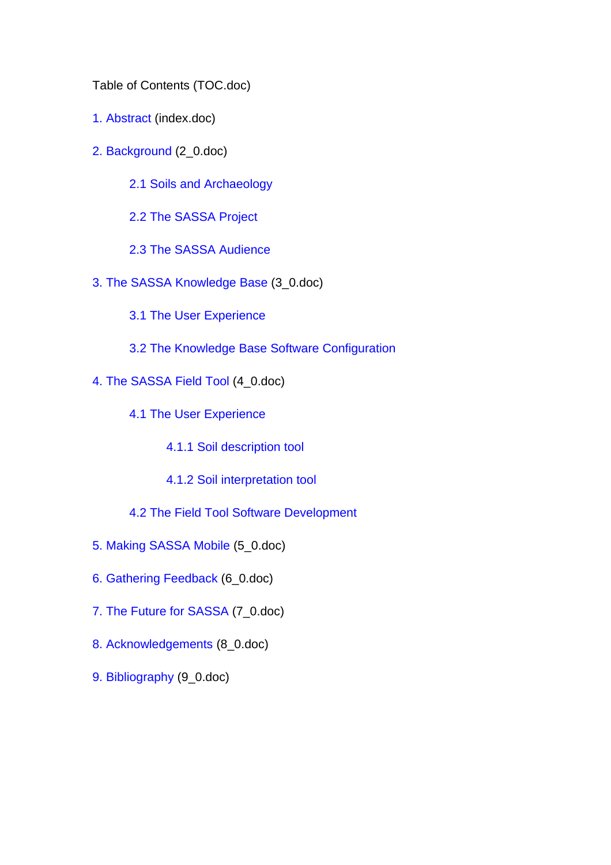Table of Contents (TOC.doc)

- 1. Abstract (index.doc)
- 2. Background (2\_0.doc)
	- 2.1 Soils and Archaeology
	- 2.2 The SASSA Project
	- 2.3 The SASSA Audience
- 3. The SASSA Knowledge Base (3\_0.doc)
	- 3.1 The User Experience
	- 3.2 The Knowledge Base Software Configuration
- 4. The SASSA Field Tool (4\_0.doc)
	- 4.1 The User Experience
		- 4.1.1 Soil description tool
		- 4.1.2 Soil interpretation tool
	- 4.2 The Field Tool Software Development
- 5. Making SASSA Mobile (5\_0.doc)
- 6. Gathering Feedback (6\_0.doc)
- 7. The Future for SASSA (7\_0.doc)
- 8. Acknowledgements (8\_0.doc)
- 9. Bibliography (9\_0.doc)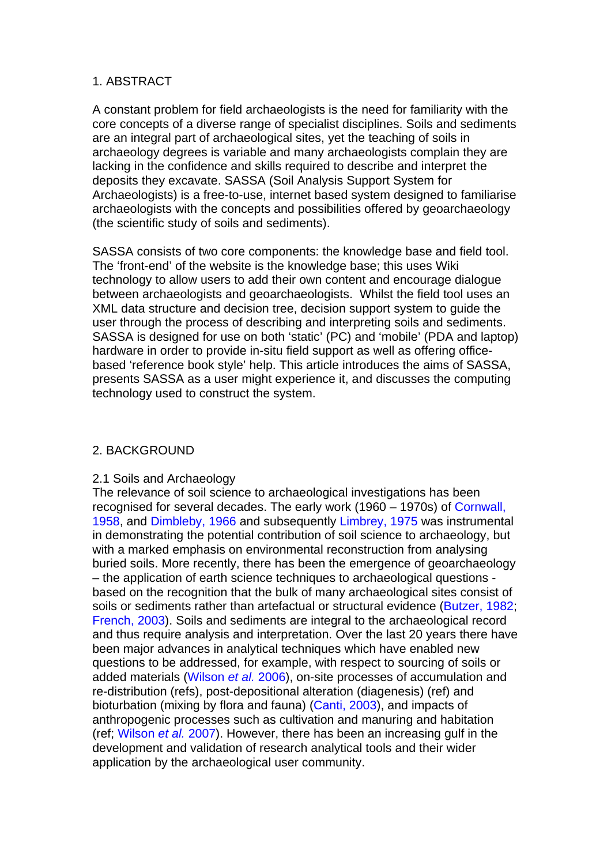#### 1. ABSTRACT

A constant problem for field archaeologists is the need for familiarity with the core concepts of a diverse range of specialist disciplines. Soils and sediments are an integral part of archaeological sites, yet the teaching of soils in archaeology degrees is variable and many archaeologists complain they are lacking in the confidence and skills required to describe and interpret the deposits they excavate. SASSA (Soil Analysis Support System for Archaeologists) is a free-to-use, internet based system designed to familiarise archaeologists with the concepts and possibilities offered by geoarchaeology (the scientific study of soils and sediments).

SASSA consists of two core components: the knowledge base and field tool. The 'front-end' of the website is the knowledge base; this uses Wiki technology to allow users to add their own content and encourage dialogue between archaeologists and geoarchaeologists. Whilst the field tool uses an XML data structure and decision tree, decision support system to guide the user through the process of describing and interpreting soils and sediments. SASSA is designed for use on both 'static' (PC) and 'mobile' (PDA and laptop) hardware in order to provide in-situ field support as well as offering officebased 'reference book style' help. This article introduces the aims of SASSA, presents SASSA as a user might experience it, and discusses the computing technology used to construct the system.

#### 2. BACKGROUND

#### 2.1 Soils and Archaeology

The relevance of soil science to archaeological investigations has been recognised for several decades. The early work (1960 – 1970s) of Cornwall, 1958, and Dimbleby, 1966 and subsequently Limbrey, 1975 was instrumental in demonstrating the potential contribution of soil science to archaeology, but with a marked emphasis on environmental reconstruction from analysing buried soils. More recently, there has been the emergence of geoarchaeology – the application of earth science techniques to archaeological questions based on the recognition that the bulk of many archaeological sites consist of soils or sediments rather than artefactual or structural evidence (Butzer, 1982; French, 2003). Soils and sediments are integral to the archaeological record and thus require analysis and interpretation. Over the last 20 years there have been major advances in analytical techniques which have enabled new questions to be addressed, for example, with respect to sourcing of soils or added materials (Wilson *et al.* 2006), on-site processes of accumulation and re-distribution (refs), post-depositional alteration (diagenesis) (ref) and bioturbation (mixing by flora and fauna) (Canti, 2003), and impacts of anthropogenic processes such as cultivation and manuring and habitation (ref; Wilson *et al.* 2007). However, there has been an increasing gulf in the development and validation of research analytical tools and their wider application by the archaeological user community.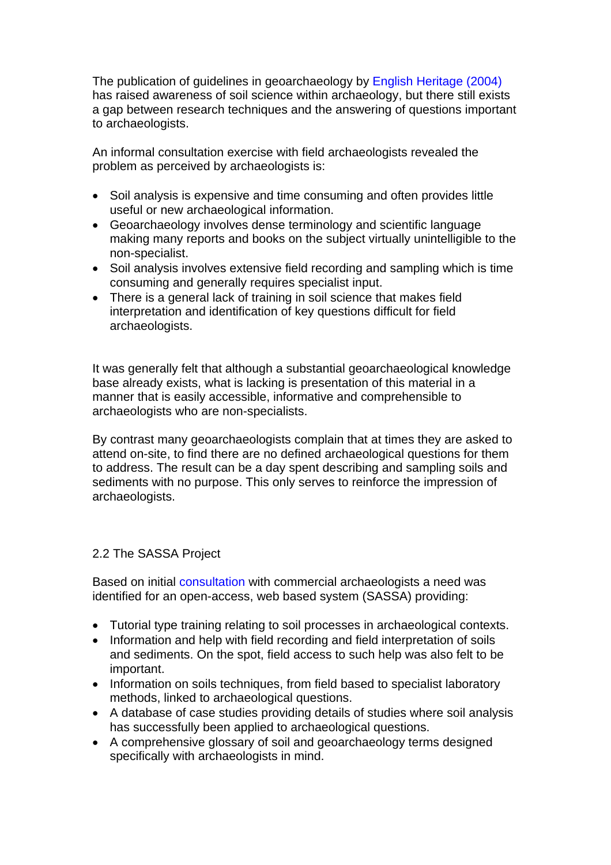The publication of guidelines in geoarchaeology by English Heritage (2004) has raised awareness of soil science within archaeology, but there still exists a gap between research techniques and the answering of questions important to archaeologists.

An informal consultation exercise with field archaeologists revealed the problem as perceived by archaeologists is:

- Soil analysis is expensive and time consuming and often provides little useful or new archaeological information.
- Geoarchaeology involves dense terminology and scientific language making many reports and books on the subject virtually unintelligible to the non-specialist.
- Soil analysis involves extensive field recording and sampling which is time consuming and generally requires specialist input.
- There is a general lack of training in soil science that makes field interpretation and identification of key questions difficult for field archaeologists.

It was generally felt that although a substantial geoarchaeological knowledge base already exists, what is lacking is presentation of this material in a manner that is easily accessible, informative and comprehensible to archaeologists who are non-specialists.

By contrast many geoarchaeologists complain that at times they are asked to attend on-site, to find there are no defined archaeological questions for them to address. The result can be a day spent describing and sampling soils and sediments with no purpose. This only serves to reinforce the impression of archaeologists.

## 2.2 The SASSA Project

Based on initial consultation with commercial archaeologists a need was identified for an open-access, web based system (SASSA) providing:

- Tutorial type training relating to soil processes in archaeological contexts.
- Information and help with field recording and field interpretation of soils and sediments. On the spot, field access to such help was also felt to be important.
- Information on soils techniques, from field based to specialist laboratory methods, linked to archaeological questions.
- A database of case studies providing details of studies where soil analysis has successfully been applied to archaeological questions.
- A comprehensive glossary of soil and geoarchaeology terms designed specifically with archaeologists in mind.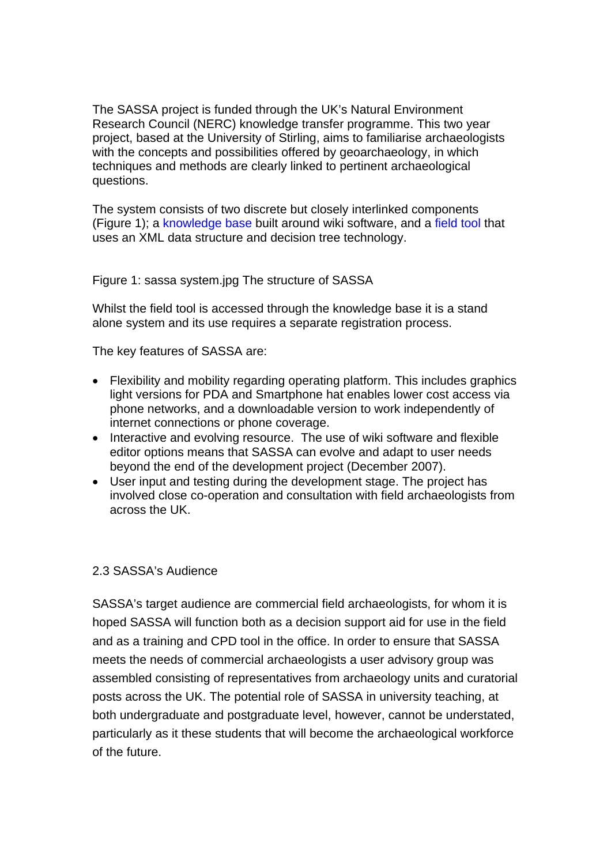The SASSA project is funded through the UK's Natural Environment Research Council (NERC) knowledge transfer programme. This two year project, based at the University of Stirling, aims to familiarise archaeologists with the concepts and possibilities offered by geoarchaeology, in which techniques and methods are clearly linked to pertinent archaeological questions.

The system consists of two discrete but closely interlinked components (Figure 1); a knowledge base built around wiki software, and a field tool that uses an XML data structure and decision tree technology.

Figure 1: sassa system.jpg The structure of SASSA

Whilst the field tool is accessed through the knowledge base it is a stand alone system and its use requires a separate registration process.

The key features of SASSA are:

- Flexibility and mobility regarding operating platform. This includes graphics light versions for PDA and Smartphone hat enables lower cost access via phone networks, and a downloadable version to work independently of internet connections or phone coverage.
- Interactive and evolving resource. The use of wiki software and flexible editor options means that SASSA can evolve and adapt to user needs beyond the end of the development project (December 2007).
- User input and testing during the development stage. The project has involved close co-operation and consultation with field archaeologists from across the UK.

#### 2.3 SASSA's Audience

SASSA's target audience are commercial field archaeologists, for whom it is hoped SASSA will function both as a decision support aid for use in the field and as a training and CPD tool in the office. In order to ensure that SASSA meets the needs of commercial archaeologists a user advisory group was assembled consisting of representatives from archaeology units and curatorial posts across the UK. The potential role of SASSA in university teaching, at both undergraduate and postgraduate level, however, cannot be understated, particularly as it these students that will become the archaeological workforce of the future.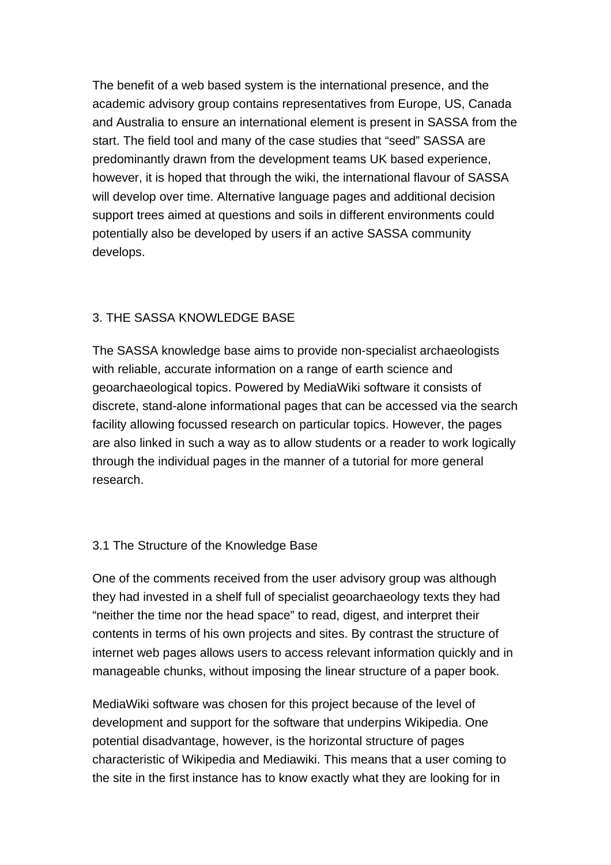The benefit of a web based system is the international presence, and the academic advisory group contains representatives from Europe, US, Canada and Australia to ensure an international element is present in SASSA from the start. The field tool and many of the case studies that "seed" SASSA are predominantly drawn from the development teams UK based experience, however, it is hoped that through the wiki, the international flavour of SASSA will develop over time. Alternative language pages and additional decision support trees aimed at questions and soils in different environments could potentially also be developed by users if an active SASSA community develops.

# 3. THE SASSA KNOWLEDGE BASE

The SASSA knowledge base aims to provide non-specialist archaeologists with reliable, accurate information on a range of earth science and geoarchaeological topics. Powered by MediaWiki software it consists of discrete, stand-alone informational pages that can be accessed via the search facility allowing focussed research on particular topics. However, the pages are also linked in such a way as to allow students or a reader to work logically through the individual pages in the manner of a tutorial for more general research.

## 3.1 The Structure of the Knowledge Base

One of the comments received from the user advisory group was although they had invested in a shelf full of specialist geoarchaeology texts they had "neither the time nor the head space" to read, digest, and interpret their contents in terms of his own projects and sites. By contrast the structure of internet web pages allows users to access relevant information quickly and in manageable chunks, without imposing the linear structure of a paper book.

MediaWiki software was chosen for this project because of the level of development and support for the software that underpins Wikipedia. One potential disadvantage, however, is the horizontal structure of pages characteristic of Wikipedia and Mediawiki. This means that a user coming to the site in the first instance has to know exactly what they are looking for in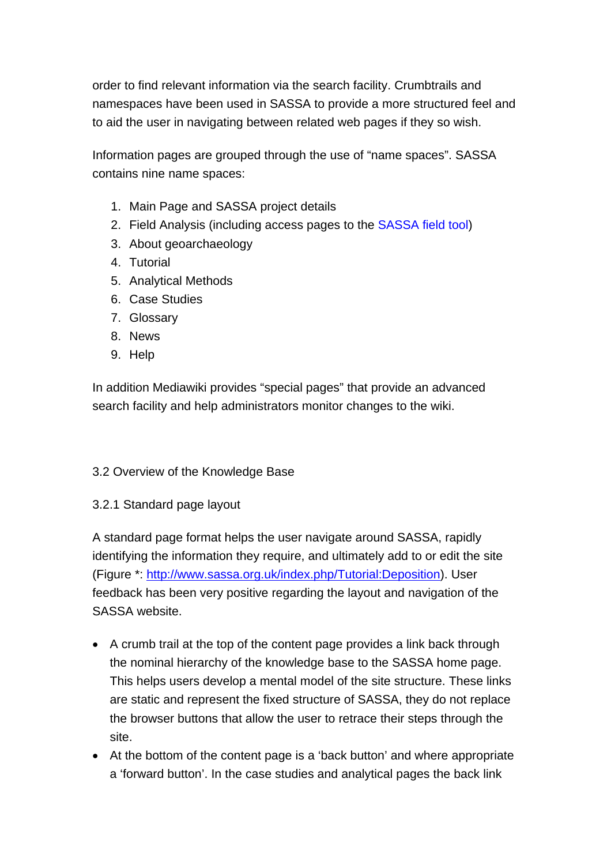order to find relevant information via the search facility. Crumbtrails and namespaces have been used in SASSA to provide a more structured feel and to aid the user in navigating between related web pages if they so wish.

Information pages are grouped through the use of "name spaces". SASSA contains nine name spaces:

- 1. Main Page and SASSA project details
- 2. Field Analysis (including access pages to the SASSA field tool)
- 3. About geoarchaeology
- 4. Tutorial
- 5. Analytical Methods
- 6. Case Studies
- 7. Glossary
- 8. News
- 9. Help

In addition Mediawiki provides "special pages" that provide an advanced search facility and help administrators monitor changes to the wiki.

## 3.2 Overview of the Knowledge Base

3.2.1 Standard page layout

A standard page format helps the user navigate around SASSA, rapidly identifying the information they require, and ultimately add to or edit the site (Figure \*: http://www.sassa.org.uk/index.php/Tutorial:Deposition). User feedback has been very positive regarding the layout and navigation of the SASSA website.

- A crumb trail at the top of the content page provides a link back through the nominal hierarchy of the knowledge base to the SASSA home page. This helps users develop a mental model of the site structure. These links are static and represent the fixed structure of SASSA, they do not replace the browser buttons that allow the user to retrace their steps through the site.
- At the bottom of the content page is a 'back button' and where appropriate a 'forward button'. In the case studies and analytical pages the back link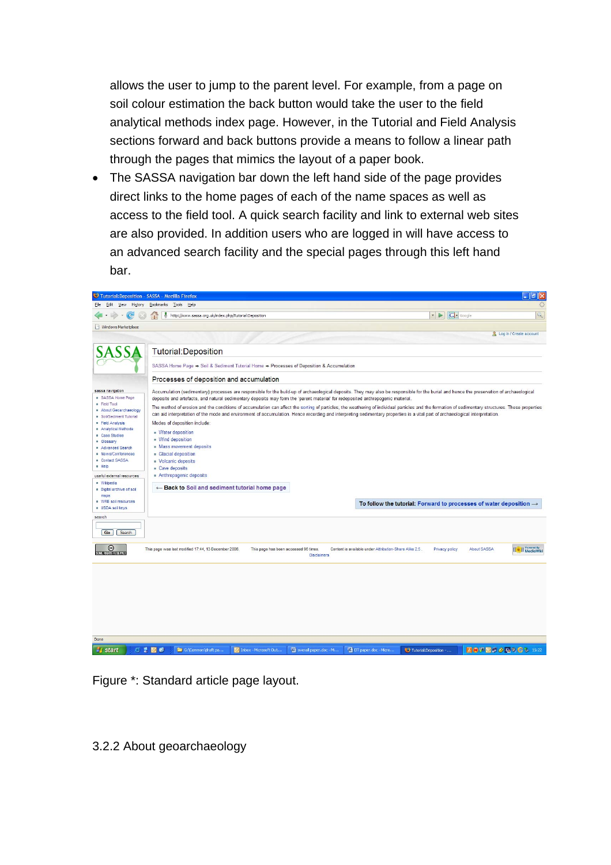allows the user to jump to the parent level. For example, from a page on soil colour estimation the back button would take the user to the field analytical methods index page. However, in the Tutorial and Field Analysis sections forward and back buttons provide a means to follow a linear path through the pages that mimics the layout of a paper book.

• The SASSA navigation bar down the left hand side of the page provides direct links to the home pages of each of the name spaces as well as access to the field tool. A quick search facility and link to external web sites are also provided. In addition users who are logged in will have access to an advanced search facility and the special pages through this left hand bar.



Figure \*: Standard article page layout.

3.2.2 About geoarchaeology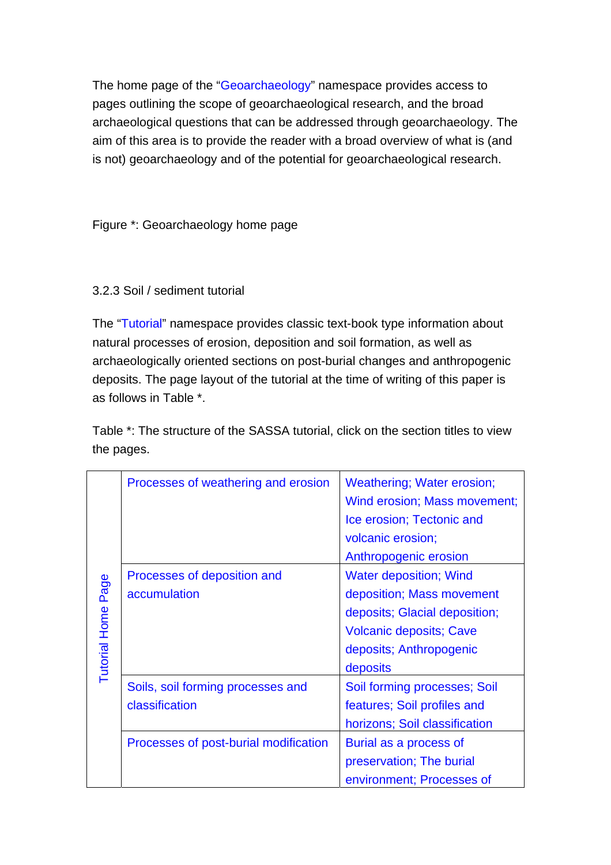The home page of the "Geoarchaeology" namespace provides access to pages outlining the scope of geoarchaeological research, and the broad archaeological questions that can be addressed through geoarchaeology. The aim of this area is to provide the reader with a broad overview of what is (and is not) geoarchaeology and of the potential for geoarchaeological research.

Figure \*: Geoarchaeology home page

## 3.2.3 Soil / sediment tutorial

The "Tutorial" namespace provides classic text-book type information about natural processes of erosion, deposition and soil formation, as well as archaeologically oriented sections on post-burial changes and anthropogenic deposits. The page layout of the tutorial at the time of writing of this paper is as follows in Table \*.

Table \*: The structure of the SASSA tutorial, click on the section titles to view the pages.

|                    | Processes of weathering and erosion                 | <b>Weathering; Water erosion;</b><br>Wind erosion; Mass movement;<br>Ice erosion; Tectonic and<br>volcanic erosion;<br>Anthropogenic erosion                         |  |
|--------------------|-----------------------------------------------------|----------------------------------------------------------------------------------------------------------------------------------------------------------------------|--|
| Tutorial Home Page | Processes of deposition and<br>accumulation         | <b>Water deposition; Wind</b><br>deposition; Mass movement<br>deposits; Glacial deposition;<br><b>Volcanic deposits; Cave</b><br>deposits; Anthropogenic<br>deposits |  |
|                    | Soils, soil forming processes and<br>classification | Soil forming processes; Soil<br>features; Soil profiles and<br>horizons; Soil classification                                                                         |  |
|                    | Processes of post-burial modification               | Burial as a process of<br>preservation; The burial<br>environment; Processes of                                                                                      |  |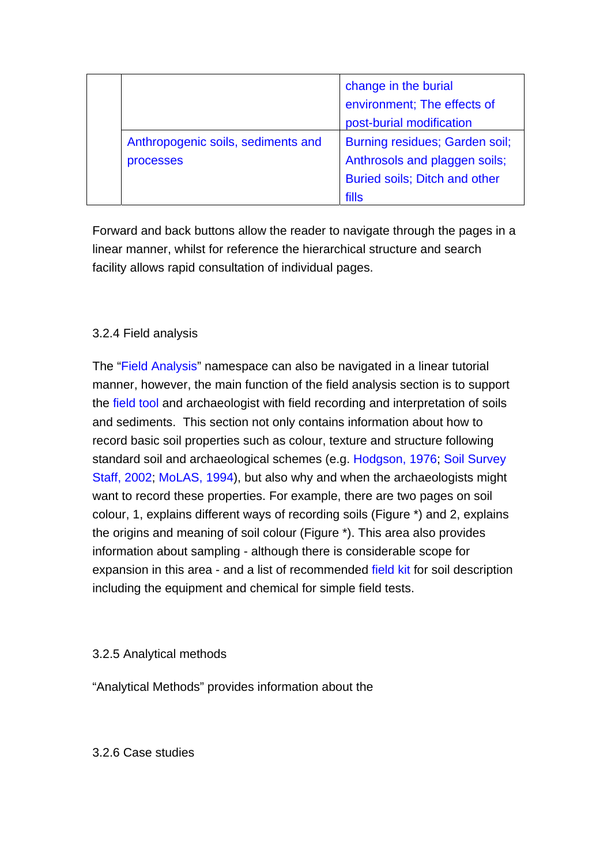|  |                                                 | change in the burial<br>environment; The effects of<br>post-burial modification                                  |
|--|-------------------------------------------------|------------------------------------------------------------------------------------------------------------------|
|  | Anthropogenic soils, sediments and<br>processes | Burning residues; Garden soil;<br>Anthrosols and plaggen soils;<br><b>Buried soils; Ditch and other</b><br>fills |

Forward and back buttons allow the reader to navigate through the pages in a linear manner, whilst for reference the hierarchical structure and search facility allows rapid consultation of individual pages.

## 3.2.4 Field analysis

The "Field Analysis" namespace can also be navigated in a linear tutorial manner, however, the main function of the field analysis section is to support the field tool and archaeologist with field recording and interpretation of soils and sediments. This section not only contains information about how to record basic soil properties such as colour, texture and structure following standard soil and archaeological schemes (e.g. Hodgson, 1976; Soil Survey Staff, 2002; MoLAS, 1994), but also why and when the archaeologists might want to record these properties. For example, there are two pages on soil colour, 1, explains different ways of recording soils (Figure \*) and 2, explains the origins and meaning of soil colour (Figure \*). This area also provides information about sampling - although there is considerable scope for expansion in this area - and a list of recommended field kit for soil description including the equipment and chemical for simple field tests.

## 3.2.5 Analytical methods

"Analytical Methods" provides information about the

3.2.6 Case studies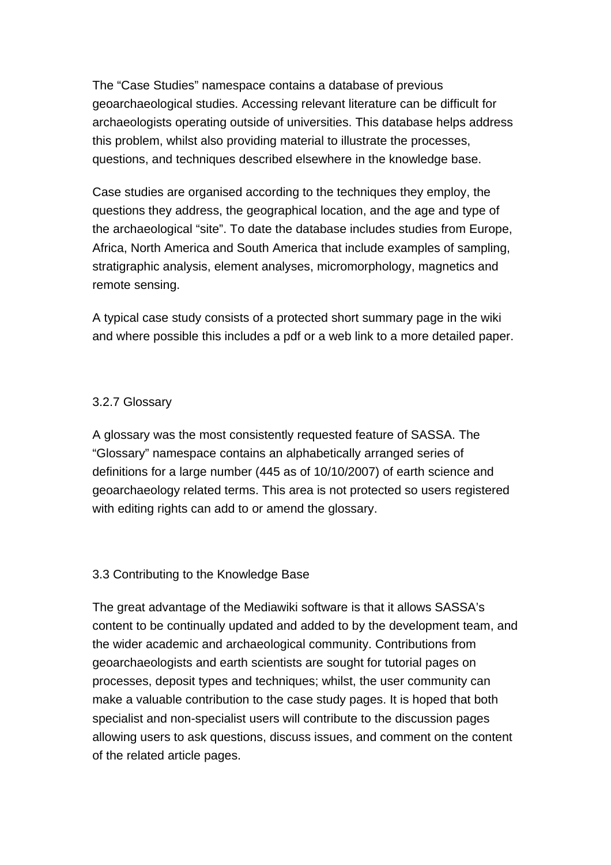The "Case Studies" namespace contains a database of previous geoarchaeological studies. Accessing relevant literature can be difficult for archaeologists operating outside of universities. This database helps address this problem, whilst also providing material to illustrate the processes, questions, and techniques described elsewhere in the knowledge base.

Case studies are organised according to the techniques they employ, the questions they address, the geographical location, and the age and type of the archaeological "site". To date the database includes studies from Europe, Africa, North America and South America that include examples of sampling, stratigraphic analysis, element analyses, micromorphology, magnetics and remote sensing.

A typical case study consists of a protected short summary page in the wiki and where possible this includes a pdf or a web link to a more detailed paper.

## 3.2.7 Glossary

A glossary was the most consistently requested feature of SASSA. The "Glossary" namespace contains an alphabetically arranged series of definitions for a large number (445 as of 10/10/2007) of earth science and geoarchaeology related terms. This area is not protected so users registered with editing rights can add to or amend the glossary.

## 3.3 Contributing to the Knowledge Base

The great advantage of the Mediawiki software is that it allows SASSA's content to be continually updated and added to by the development team, and the wider academic and archaeological community. Contributions from geoarchaeologists and earth scientists are sought for tutorial pages on processes, deposit types and techniques; whilst, the user community can make a valuable contribution to the case study pages. It is hoped that both specialist and non-specialist users will contribute to the discussion pages allowing users to ask questions, discuss issues, and comment on the content of the related article pages.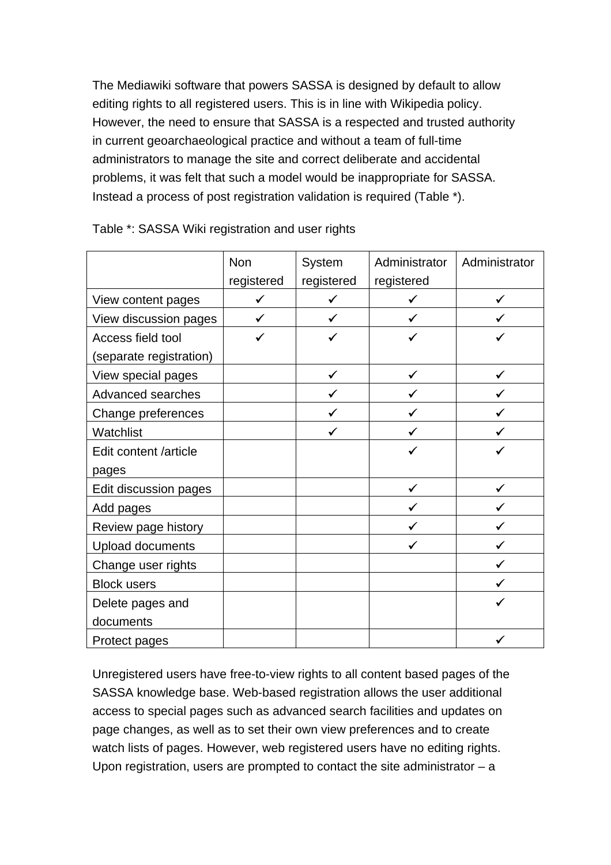The Mediawiki software that powers SASSA is designed by default to allow editing rights to all registered users. This is in line with Wikipedia policy. However, the need to ensure that SASSA is a respected and trusted authority in current geoarchaeological practice and without a team of full-time administrators to manage the site and correct deliberate and accidental problems, it was felt that such a model would be inappropriate for SASSA. Instead a process of post registration validation is required (Table \*).

|                         | <b>Non</b><br>registered | System<br>registered | Administrator<br>registered | Administrator |
|-------------------------|--------------------------|----------------------|-----------------------------|---------------|
| View content pages      | ✓                        | ✓                    |                             |               |
| View discussion pages   | ✓                        | ✓                    |                             |               |
| Access field tool       | ✓                        |                      |                             |               |
| (separate registration) |                          |                      |                             |               |
| View special pages      |                          | ✓                    | ✓                           |               |
| Advanced searches       |                          |                      |                             |               |
| Change preferences      |                          | ✓                    |                             |               |
| Watchlist               |                          |                      |                             |               |
| Edit content /article   |                          |                      |                             |               |
| pages                   |                          |                      |                             |               |
| Edit discussion pages   |                          |                      |                             |               |
| Add pages               |                          |                      |                             |               |
| Review page history     |                          |                      |                             |               |
| Upload documents        |                          |                      |                             |               |
| Change user rights      |                          |                      |                             |               |
| <b>Block users</b>      |                          |                      |                             |               |
| Delete pages and        |                          |                      |                             |               |
| documents               |                          |                      |                             |               |
| Protect pages           |                          |                      |                             |               |

Table \*: SASSA Wiki registration and user rights

Unregistered users have free-to-view rights to all content based pages of the SASSA knowledge base. Web-based registration allows the user additional access to special pages such as advanced search facilities and updates on page changes, as well as to set their own view preferences and to create watch lists of pages. However, web registered users have no editing rights. Upon registration, users are prompted to contact the site administrator – a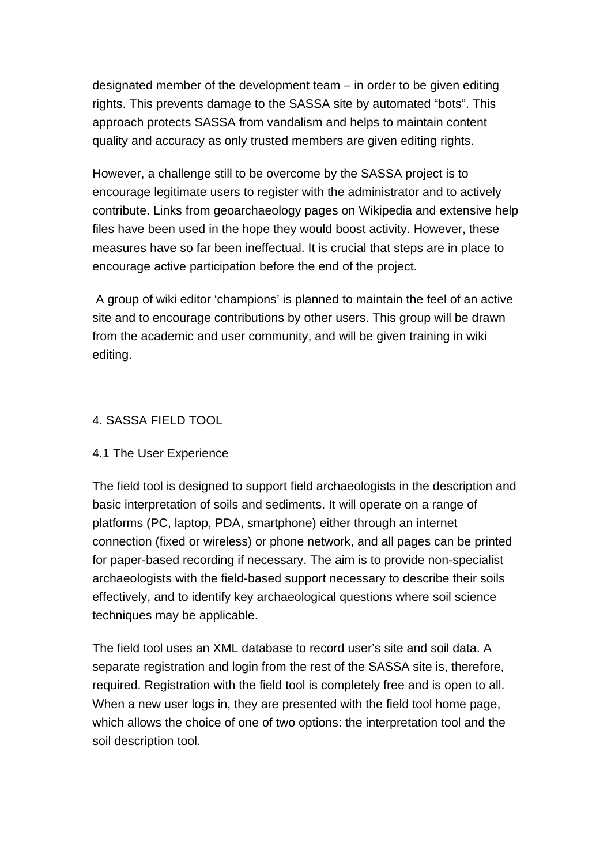designated member of the development team – in order to be given editing rights. This prevents damage to the SASSA site by automated "bots". This approach protects SASSA from vandalism and helps to maintain content quality and accuracy as only trusted members are given editing rights.

However, a challenge still to be overcome by the SASSA project is to encourage legitimate users to register with the administrator and to actively contribute. Links from geoarchaeology pages on Wikipedia and extensive help files have been used in the hope they would boost activity. However, these measures have so far been ineffectual. It is crucial that steps are in place to encourage active participation before the end of the project.

 A group of wiki editor 'champions' is planned to maintain the feel of an active site and to encourage contributions by other users. This group will be drawn from the academic and user community, and will be given training in wiki editing.

## 4. SASSA FIELD TOOL

## 4.1 The User Experience

The field tool is designed to support field archaeologists in the description and basic interpretation of soils and sediments. It will operate on a range of platforms (PC, laptop, PDA, smartphone) either through an internet connection (fixed or wireless) or phone network, and all pages can be printed for paper-based recording if necessary. The aim is to provide non-specialist archaeologists with the field-based support necessary to describe their soils effectively, and to identify key archaeological questions where soil science techniques may be applicable.

The field tool uses an XML database to record user's site and soil data. A separate registration and login from the rest of the SASSA site is, therefore, required. Registration with the field tool is completely free and is open to all. When a new user logs in, they are presented with the field tool home page. which allows the choice of one of two options: the interpretation tool and the soil description tool.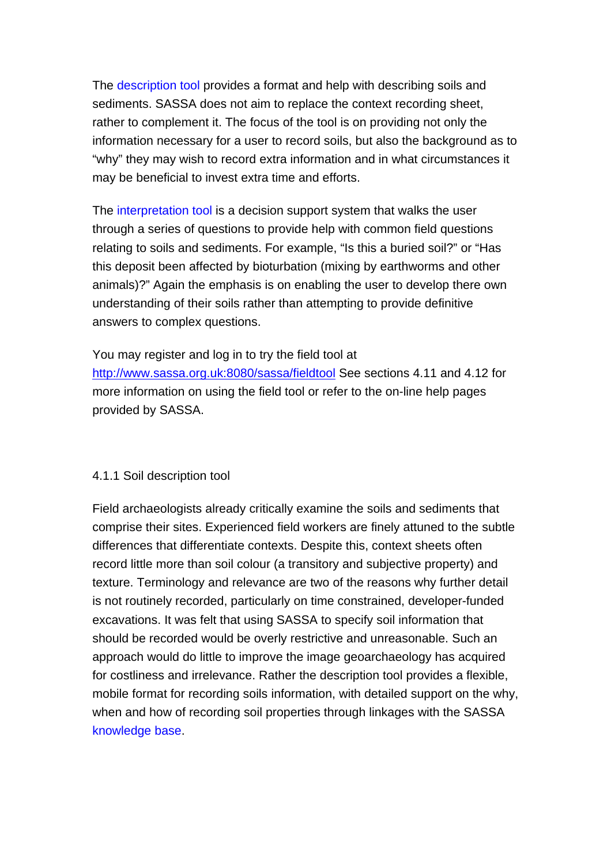The description tool provides a format and help with describing soils and sediments. SASSA does not aim to replace the context recording sheet, rather to complement it. The focus of the tool is on providing not only the information necessary for a user to record soils, but also the background as to "why" they may wish to record extra information and in what circumstances it may be beneficial to invest extra time and efforts.

The interpretation tool is a decision support system that walks the user through a series of questions to provide help with common field questions relating to soils and sediments. For example, "Is this a buried soil?" or "Has this deposit been affected by bioturbation (mixing by earthworms and other animals)?" Again the emphasis is on enabling the user to develop there own understanding of their soils rather than attempting to provide definitive answers to complex questions.

You may register and log in to try the field tool at http://www.sassa.org.uk:8080/sassa/fieldtool See sections 4.11 and 4.12 for more information on using the field tool or refer to the on-line help pages provided by SASSA.

## 4.1.1 Soil description tool

Field archaeologists already critically examine the soils and sediments that comprise their sites. Experienced field workers are finely attuned to the subtle differences that differentiate contexts. Despite this, context sheets often record little more than soil colour (a transitory and subjective property) and texture. Terminology and relevance are two of the reasons why further detail is not routinely recorded, particularly on time constrained, developer-funded excavations. It was felt that using SASSA to specify soil information that should be recorded would be overly restrictive and unreasonable. Such an approach would do little to improve the image geoarchaeology has acquired for costliness and irrelevance. Rather the description tool provides a flexible, mobile format for recording soils information, with detailed support on the why, when and how of recording soil properties through linkages with the SASSA knowledge base.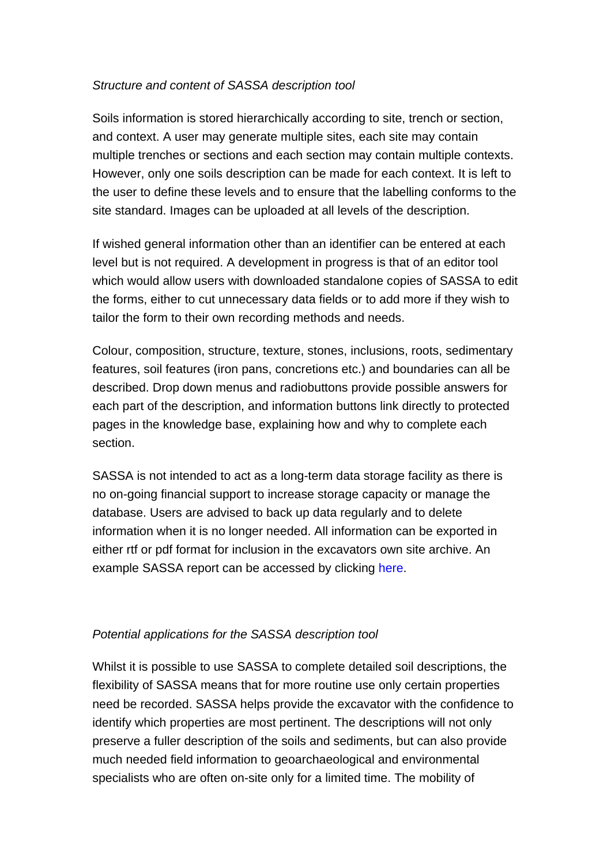#### *Structure and content of SASSA description tool*

Soils information is stored hierarchically according to site, trench or section, and context. A user may generate multiple sites, each site may contain multiple trenches or sections and each section may contain multiple contexts. However, only one soils description can be made for each context. It is left to the user to define these levels and to ensure that the labelling conforms to the site standard. Images can be uploaded at all levels of the description.

If wished general information other than an identifier can be entered at each level but is not required. A development in progress is that of an editor tool which would allow users with downloaded standalone copies of SASSA to edit the forms, either to cut unnecessary data fields or to add more if they wish to tailor the form to their own recording methods and needs.

Colour, composition, structure, texture, stones, inclusions, roots, sedimentary features, soil features (iron pans, concretions etc.) and boundaries can all be described. Drop down menus and radiobuttons provide possible answers for each part of the description, and information buttons link directly to protected pages in the knowledge base, explaining how and why to complete each section.

SASSA is not intended to act as a long-term data storage facility as there is no on-going financial support to increase storage capacity or manage the database. Users are advised to back up data regularly and to delete information when it is no longer needed. All information can be exported in either rtf or pdf format for inclusion in the excavators own site archive. An example SASSA report can be accessed by clicking here.

#### *Potential applications for the SASSA description tool*

Whilst it is possible to use SASSA to complete detailed soil descriptions, the flexibility of SASSA means that for more routine use only certain properties need be recorded. SASSA helps provide the excavator with the confidence to identify which properties are most pertinent. The descriptions will not only preserve a fuller description of the soils and sediments, but can also provide much needed field information to geoarchaeological and environmental specialists who are often on-site only for a limited time. The mobility of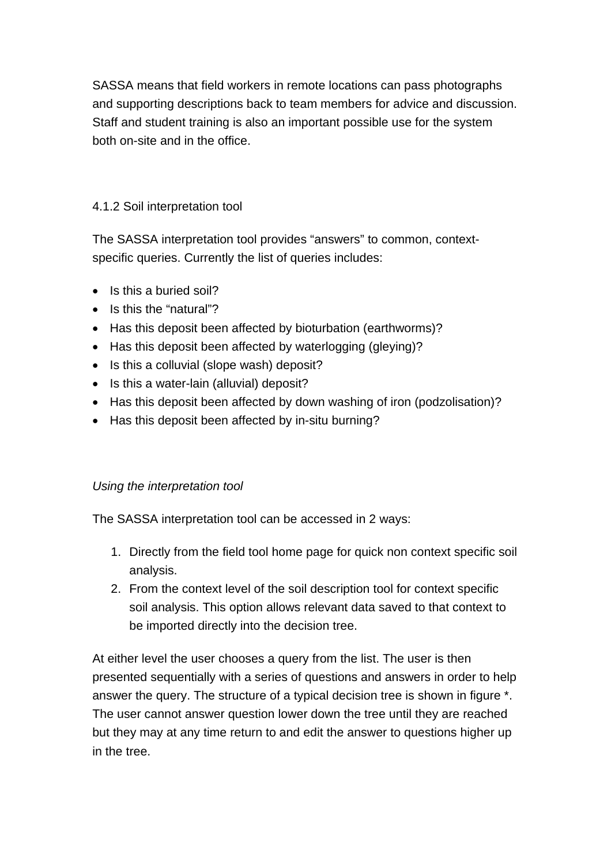SASSA means that field workers in remote locations can pass photographs and supporting descriptions back to team members for advice and discussion. Staff and student training is also an important possible use for the system both on-site and in the office.

# 4.1.2 Soil interpretation tool

The SASSA interpretation tool provides "answers" to common, contextspecific queries. Currently the list of queries includes:

- Is this a buried soil?
- Is this the "natural"?
- Has this deposit been affected by bioturbation (earthworms)?
- Has this deposit been affected by waterlogging (gleying)?
- Is this a colluvial (slope wash) deposit?
- Is this a water-lain (alluvial) deposit?
- Has this deposit been affected by down washing of iron (podzolisation)?
- Has this deposit been affected by in-situ burning?

# *Using the interpretation tool*

The SASSA interpretation tool can be accessed in 2 ways:

- 1. Directly from the field tool home page for quick non context specific soil analysis.
- 2. From the context level of the soil description tool for context specific soil analysis. This option allows relevant data saved to that context to be imported directly into the decision tree.

At either level the user chooses a query from the list. The user is then presented sequentially with a series of questions and answers in order to help answer the query. The structure of a typical decision tree is shown in figure \*. The user cannot answer question lower down the tree until they are reached but they may at any time return to and edit the answer to questions higher up in the tree.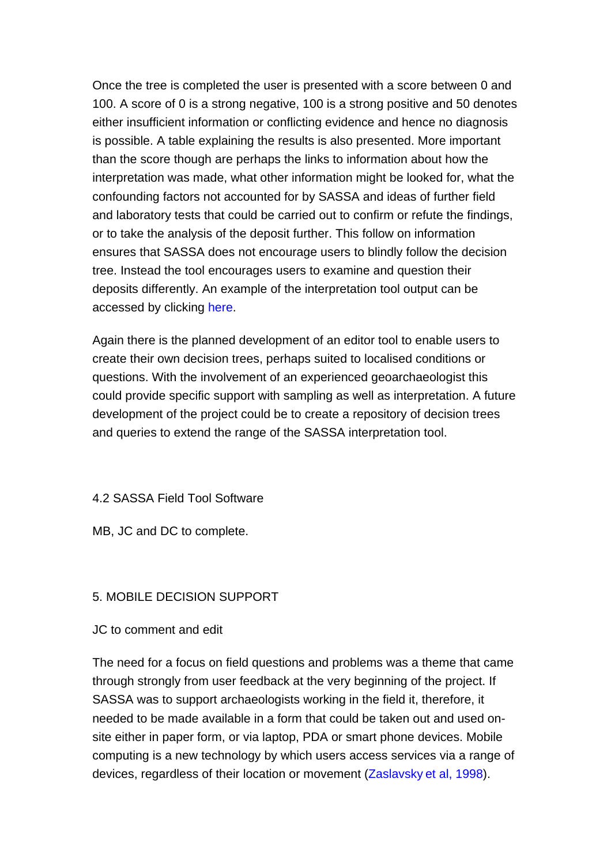Once the tree is completed the user is presented with a score between 0 and 100. A score of 0 is a strong negative, 100 is a strong positive and 50 denotes either insufficient information or conflicting evidence and hence no diagnosis is possible. A table explaining the results is also presented. More important than the score though are perhaps the links to information about how the interpretation was made, what other information might be looked for, what the confounding factors not accounted for by SASSA and ideas of further field and laboratory tests that could be carried out to confirm or refute the findings, or to take the analysis of the deposit further. This follow on information ensures that SASSA does not encourage users to blindly follow the decision tree. Instead the tool encourages users to examine and question their deposits differently. An example of the interpretation tool output can be accessed by clicking here.

Again there is the planned development of an editor tool to enable users to create their own decision trees, perhaps suited to localised conditions or questions. With the involvement of an experienced geoarchaeologist this could provide specific support with sampling as well as interpretation. A future development of the project could be to create a repository of decision trees and queries to extend the range of the SASSA interpretation tool.

#### 4.2 SASSA Field Tool Software

MB, JC and DC to complete.

#### 5. MOBILE DECISION SUPPORT

JC to comment and edit

The need for a focus on field questions and problems was a theme that came through strongly from user feedback at the very beginning of the project. If SASSA was to support archaeologists working in the field it, therefore, it needed to be made available in a form that could be taken out and used onsite either in paper form, or via laptop, PDA or smart phone devices. Mobile computing is a new technology by which users access services via a range of devices, regardless of their location or movement (Zaslavsky et al, 1998).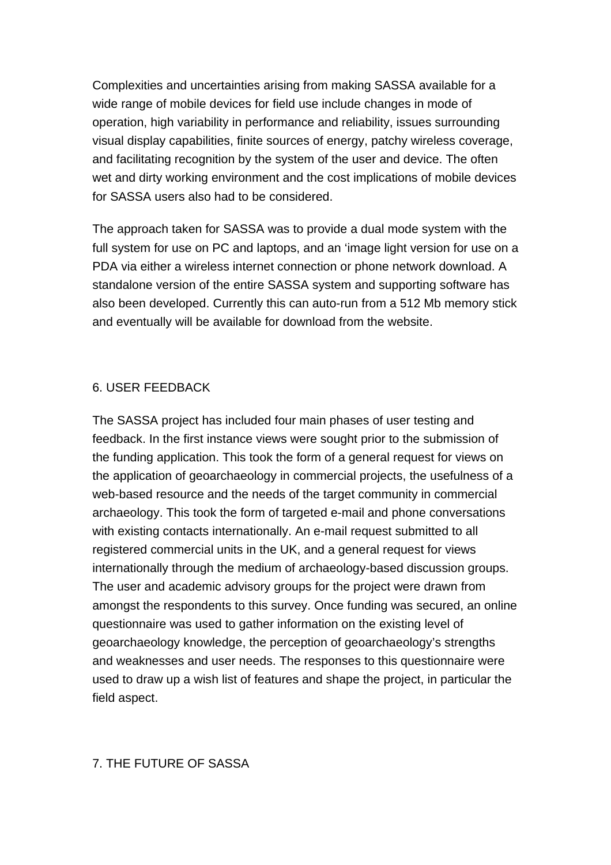Complexities and uncertainties arising from making SASSA available for a wide range of mobile devices for field use include changes in mode of operation, high variability in performance and reliability, issues surrounding visual display capabilities, finite sources of energy, patchy wireless coverage, and facilitating recognition by the system of the user and device. The often wet and dirty working environment and the cost implications of mobile devices for SASSA users also had to be considered.

The approach taken for SASSA was to provide a dual mode system with the full system for use on PC and laptops, and an 'image light version for use on a PDA via either a wireless internet connection or phone network download. A standalone version of the entire SASSA system and supporting software has also been developed. Currently this can auto-run from a 512 Mb memory stick and eventually will be available for download from the website.

#### 6. USER FEEDBACK

The SASSA project has included four main phases of user testing and feedback. In the first instance views were sought prior to the submission of the funding application. This took the form of a general request for views on the application of geoarchaeology in commercial projects, the usefulness of a web-based resource and the needs of the target community in commercial archaeology. This took the form of targeted e-mail and phone conversations with existing contacts internationally. An e-mail request submitted to all registered commercial units in the UK, and a general request for views internationally through the medium of archaeology-based discussion groups. The user and academic advisory groups for the project were drawn from amongst the respondents to this survey. Once funding was secured, an online questionnaire was used to gather information on the existing level of geoarchaeology knowledge, the perception of geoarchaeology's strengths and weaknesses and user needs. The responses to this questionnaire were used to draw up a wish list of features and shape the project, in particular the field aspect.

## 7. THE FUTURE OF SASSA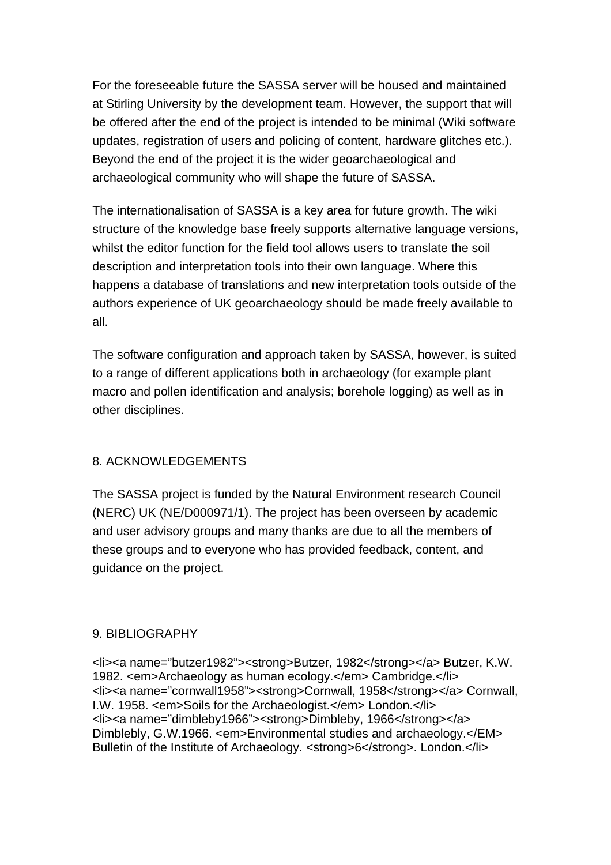For the foreseeable future the SASSA server will be housed and maintained at Stirling University by the development team. However, the support that will be offered after the end of the project is intended to be minimal (Wiki software updates, registration of users and policing of content, hardware glitches etc.). Beyond the end of the project it is the wider geoarchaeological and archaeological community who will shape the future of SASSA.

The internationalisation of SASSA is a key area for future growth. The wiki structure of the knowledge base freely supports alternative language versions, whilst the editor function for the field tool allows users to translate the soil description and interpretation tools into their own language. Where this happens a database of translations and new interpretation tools outside of the authors experience of UK geoarchaeology should be made freely available to all.

The software configuration and approach taken by SASSA, however, is suited to a range of different applications both in archaeology (for example plant macro and pollen identification and analysis; borehole logging) as well as in other disciplines.

# 8. ACKNOWLEDGEMENTS

The SASSA project is funded by the Natural Environment research Council (NERC) UK (NE/D000971/1). The project has been overseen by academic and user advisory groups and many thanks are due to all the members of these groups and to everyone who has provided feedback, content, and guidance on the project.

## 9. BIBLIOGRAPHY

<li><a name="butzer1982"><strong>Butzer, 1982</strong></a> Butzer, K.W. 1982. <em>Archaeology as human ecology.</em> Cambridge.</li> <li><a name="cornwall1958"><strong>Cornwall, 1958</strong></a> Cornwall, I.W. 1958. <em>Soils for the Archaeologist.</em> London.</li> <li><a name="dimbleby1966"><strong>Dimbleby, 1966</strong></a> Dimblebly, G.W.1966. <em>Environmental studies and archaeology.</EM> Bulletin of the Institute of Archaeology. <strong>6</strong>. London.</li>